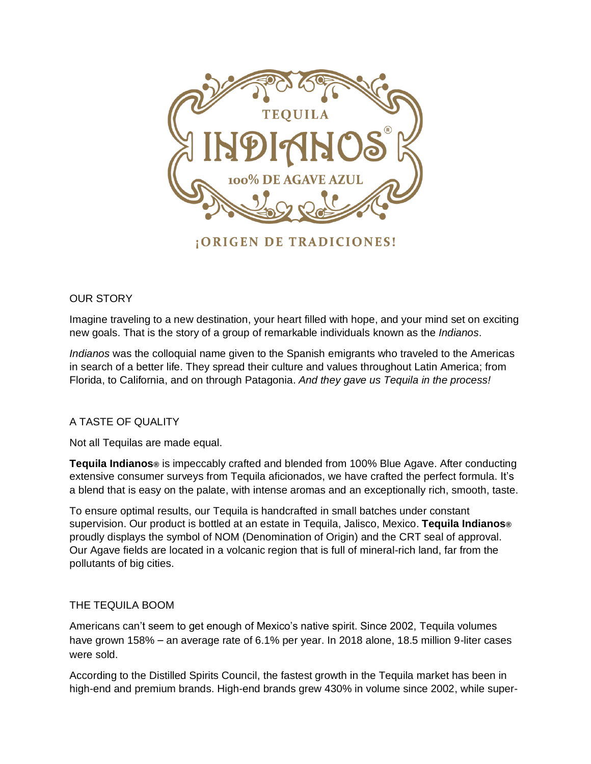

¡ORIGEN DE TRADICIONES!

## OUR STORY

Imagine traveling to a new destination, your heart filled with hope, and your mind set on exciting new goals. That is the story of a group of remarkable individuals known as the *Indianos*.

*Indianos* was the colloquial name given to the Spanish emigrants who traveled to the Americas in search of a better life. They spread their culture and values throughout Latin America; from Florida, to California, and on through Patagonia. *And they gave us Tequila in the process!*

## A TASTE OF QUALITY

Not all Tequilas are made equal.

**Tequila Indianos®** is impeccably crafted and blended from 100% Blue Agave. After conducting extensive consumer surveys from Tequila aficionados, we have crafted the perfect formula. It's a blend that is easy on the palate, with intense aromas and an exceptionally rich, smooth, taste.

To ensure optimal results, our Tequila is handcrafted in small batches under constant supervision. Our product is bottled at an estate in Tequila, Jalisco, Mexico. **Tequila Indianos®** proudly displays the symbol of NOM (Denomination of Origin) and the CRT seal of approval. Our Agave fields are located in a volcanic region that is full of mineral-rich land, far from the pollutants of big cities.

## THE TEQUILA BOOM

Americans can't seem to get enough of Mexico's native spirit. Since 2002, Tequila volumes have grown 158% – an average rate of 6.1% per year. In 2018 alone, 18.5 million 9-liter cases were sold.

According to the Distilled Spirits Council, the fastest growth in the Tequila market has been in high-end and premium brands. High-end brands grew 430% in volume since 2002, while super